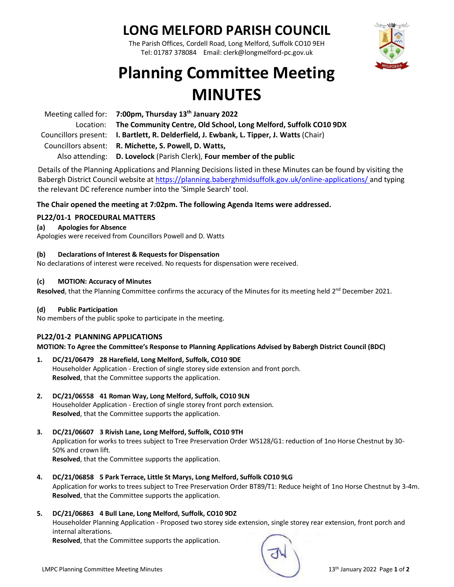### **LONG MELFORD PARISH COUNCIL**

The Parish Offices, Cordell Road, Long Melford, Suffolk CO10 9EH Tel: 01787 378084 Email: clerk@longmelford-pc.gov.uk



# **Planning Committee Meeting MINUTES**

| Meeting called for: 7:00pm, Thursday 13 <sup>th</sup> January 2022                       |
|------------------------------------------------------------------------------------------|
| Location: The Community Centre, Old School, Long Melford, Suffolk CO10 9DX               |
| Councillors present: I. Bartlett, R. Delderfield, J. Ewbank, L. Tipper, J. Watts (Chair) |
| Councillors absent: R. Michette, S. Powell, D. Watts,                                    |
| Also attending: D. Lovelock (Parish Clerk), Four member of the public                    |

Details of the Planning Applications and Planning Decisions listed in these Minutes can be found by visiting the Babergh District Council website at<https://planning.baberghmidsuffolk.gov.uk/online-applications/> and typing the relevant DC reference number into the 'Simple Search' tool.

### **The Chair opened the meeting at 7:02pm. The following Agenda Items were addressed.**

### **PL22/01-1 PROCEDURAL MATTERS**

#### **(a) Apologies for Absence**

Apologies were received from Councillors Powell and D. Watts

#### **(b) Declarations of Interest & Requests for Dispensation**

No declarations of interest were received. No requests for dispensation were received.

#### **(c) MOTION: Accuracy of Minutes**

Resolved, that the Planning Committee confirms the accuracy of the Minutes for its meeting held 2<sup>nd</sup> December 2021.

#### **(d) Public Participation**

No members of the public spoke to participate in the meeting.

#### **PL22/01-2 PLANNING APPLICATIONS**

**MOTION: To Agree the Committee's Response to Planning Applications Advised by Babergh District Council (BDC)**

- **1. DC/21/06479 28 Harefield, Long Melford, Suffolk, CO10 9DE** Householder Application - Erection of single storey side extension and front porch. **Resolved**, that the Committee supports the application.
- **2. DC/21/06558 41 Roman Way, Long Melford, Suffolk, CO10 9LN** Householder Application - Erection of single storey front porch extension. **Resolved**, that the Committee supports the application.
- **3. DC/21/06607 3 Rivish Lane, Long Melford, Suffolk, CO10 9TH** Application for works to trees subject to Tree Preservation Order WS128/G1: reduction of 1no Horse Chestnut by 30- 50% and crown lift.

**Resolved**, that the Committee supports the application.

**4. DC/21/06858 5 Park Terrace, Little St Marys, Long Melford, Suffolk CO10 9LG** Application for works to trees subject to Tree Preservation Order BT89/T1: Reduce height of 1no Horse Chestnut by 3-4m. **Resolved**, that the Committee supports the application.

#### **5. DC/21/06863 4 Bull Lane, Long Melford, Suffolk, CO10 9DZ**

Householder Planning Application - Proposed two storey side extension, single storey rear extension, front porch and internal alterations.

**Resolved**, that the Committee supports the application.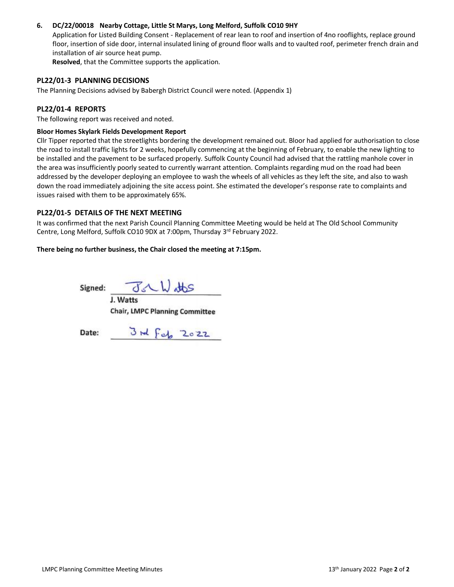#### **6. DC/22/00018 Nearby Cottage, Little St Marys, Long Melford, Suffolk CO10 9HY**

Application for Listed Building Consent - Replacement of rear lean to roof and insertion of 4no rooflights, replace ground floor, insertion of side door, internal insulated lining of ground floor walls and to vaulted roof, perimeter french drain and installation of air source heat pump.

**Resolved**, that the Committee supports the application.

#### **PL22/01-3 PLANNING DECISIONS**

The Planning Decisions advised by Babergh District Council were noted. (Appendix 1)

#### **PL22/01-4 REPORTS**

The following report was received and noted.

#### **Bloor Homes Skylark Fields Development Report**

Cllr Tipper reported that the streetlights bordering the development remained out. Bloor had applied for authorisation to close the road to install traffic lights for 2 weeks, hopefully commencing at the beginning of February, to enable the new lighting to be installed and the pavement to be surfaced properly. Suffolk County Council had advised that the rattling manhole cover in the area was insufficiently poorly seated to currently warrant attention. Complaints regarding mud on the road had been addressed by the developer deploying an employee to wash the wheels of all vehicles as they left the site, and also to wash down the road immediately adjoining the site access point. She estimated the developer's response rate to complaints and issues raised with them to be approximately 65%.

#### **PL22/01-5 DETAILS OF THE NEXT MEETING**

It was confirmed that the next Parish Council Planning Committee Meeting would be held at The Old School Community Centre, Long Melford, Suffolk CO10 9DX at 7:00pm, Thursday 3<sup>rd</sup> February 2022.

#### **There being no further business, the Chair closed the meeting at 7:15pm.**

**Signed:** 

John Wottes

**J. Watts Chair, LMPC Planning Committee**

 $3rdfob2ozz$ **Date:**